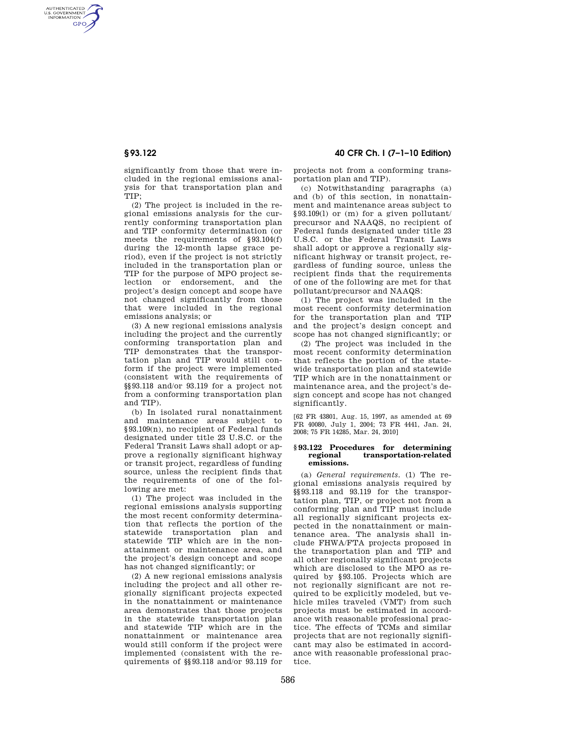AUTHENTICATED<br>U.S. GOVERNMENT<br>INFORMATION **GPO** 

> significantly from those that were included in the regional emissions analysis for that transportation plan and TIP;

> (2) The project is included in the regional emissions analysis for the currently conforming transportation plan and TIP conformity determination (or meets the requirements of §93.104(f) during the 12-month lapse grace period), even if the project is not strictly included in the transportation plan or TIP for the purpose of MPO project selection or endorsement, and the project's design concept and scope have not changed significantly from those that were included in the regional emissions analysis; or

> (3) A new regional emissions analysis including the project and the currently conforming transportation plan and TIP demonstrates that the transportation plan and TIP would still conform if the project were implemented (consistent with the requirements of §§93.118 and/or 93.119 for a project not from a conforming transportation plan and TIP).

> (b) In isolated rural nonattainment and maintenance areas subject to §93.109(n), no recipient of Federal funds designated under title 23 U.S.C. or the Federal Transit Laws shall adopt or approve a regionally significant highway or transit project, regardless of funding source, unless the recipient finds that the requirements of one of the following are met:

> (1) The project was included in the regional emissions analysis supporting the most recent conformity determination that reflects the portion of the statewide transportation plan and statewide TIP which are in the nonattainment or maintenance area, and the project's design concept and scope has not changed significantly; or

> (2) A new regional emissions analysis including the project and all other regionally significant projects expected in the nonattainment or maintenance area demonstrates that those projects in the statewide transportation plan and statewide TIP which are in the nonattainment or maintenance area would still conform if the project were implemented (consistent with the requirements of §§93.118 and/or 93.119 for

# **§ 93.122 40 CFR Ch. I (7–1–10 Edition)**

projects not from a conforming transportation plan and TIP).

(c) Notwithstanding paragraphs (a) and (b) of this section, in nonattainment and maintenance areas subject to §93.109(l) or (m) for a given pollutant/ precursor and NAAQS, no recipient of Federal funds designated under title 23 U.S.C. or the Federal Transit Laws shall adopt or approve a regionally significant highway or transit project, regardless of funding source, unless the recipient finds that the requirements of one of the following are met for that pollutant/precursor and NAAQS:

(1) The project was included in the most recent conformity determination for the transportation plan and TIP and the project's design concept and scope has not changed significantly; or

(2) The project was included in the most recent conformity determination that reflects the portion of the statewide transportation plan and statewide TIP which are in the nonattainment or maintenance area, and the project's design concept and scope has not changed significantly.

[62 FR 43801, Aug. 15, 1997, as amended at 69 FR 40080, July 1, 2004; 73 FR 4441, Jan. 24, 2008; 75 FR 14285, Mar. 24, 2010]

### **§ 93.122 Procedures for determining regional transportation-related emissions.**

(a) *General requirements.* (1) The regional emissions analysis required by §§93.118 and 93.119 for the transportation plan, TIP, or project not from a conforming plan and TIP must include all regionally significant projects expected in the nonattainment or maintenance area. The analysis shall include FHWA/FTA projects proposed in the transportation plan and TIP and all other regionally significant projects which are disclosed to the MPO as required by §93.105. Projects which are not regionally significant are not required to be explicitly modeled, but vehicle miles traveled (VMT) from such projects must be estimated in accordance with reasonable professional practice. The effects of TCMs and similar projects that are not regionally significant may also be estimated in accordance with reasonable professional practice.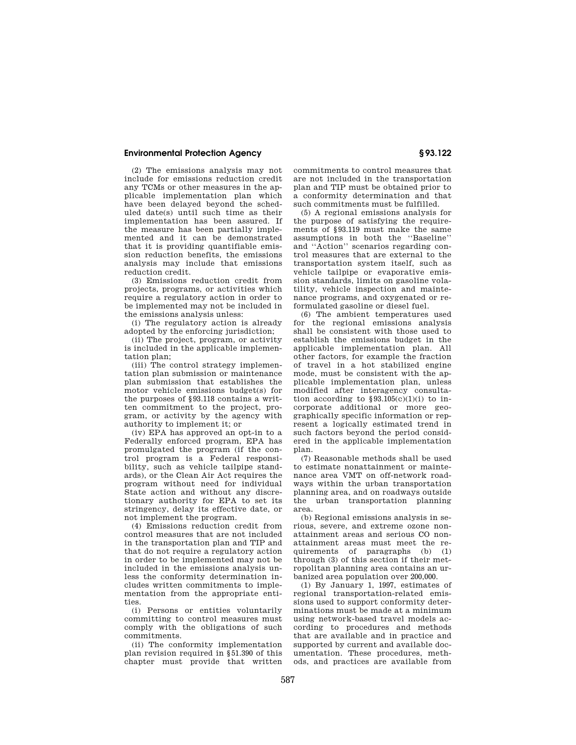# **Environmental Protection Agency § 93.122**

(2) The emissions analysis may not include for emissions reduction credit any TCMs or other measures in the applicable implementation plan which have been delayed beyond the scheduled date(s) until such time as their implementation has been assured. If the measure has been partially implemented and it can be demonstrated that it is providing quantifiable emission reduction benefits, the emissions analysis may include that emissions reduction credit.

(3) Emissions reduction credit from projects, programs, or activities which require a regulatory action in order to be implemented may not be included in the emissions analysis unless:

(i) The regulatory action is already adopted by the enforcing jurisdiction;

(ii) The project, program, or activity is included in the applicable implementation plan;

(iii) The control strategy implementation plan submission or maintenance plan submission that establishes the motor vehicle emissions budget(s) for the purposes of §93.118 contains a written commitment to the project, program, or activity by the agency with authority to implement it; or

(iv) EPA has approved an opt-in to a Federally enforced program, EPA has promulgated the program (if the control program is a Federal responsibility, such as vehicle tailpipe standards), or the Clean Air Act requires the program without need for individual State action and without any discretionary authority for EPA to set its stringency, delay its effective date, or not implement the program.

(4) Emissions reduction credit from control measures that are not included in the transportation plan and TIP and that do not require a regulatory action in order to be implemented may not be included in the emissions analysis unless the conformity determination includes written commitments to implementation from the appropriate entities.

(i) Persons or entities voluntarily committing to control measures must comply with the obligations of such commitments.

(ii) The conformity implementation plan revision required in §51.390 of this chapter must provide that written commitments to control measures that are not included in the transportation plan and TIP must be obtained prior to a conformity determination and that such commitments must be fulfilled.

(5) A regional emissions analysis for the purpose of satisfying the requirements of §93.119 must make the same assumptions in both the ''Baseline'' and ''Action'' scenarios regarding control measures that are external to the transportation system itself, such as vehicle tailpipe or evaporative emission standards, limits on gasoline volatility, vehicle inspection and maintenance programs, and oxygenated or reformulated gasoline or diesel fuel.

(6) The ambient temperatures used for the regional emissions analysis shall be consistent with those used to establish the emissions budget in the applicable implementation plan. All other factors, for example the fraction of travel in a hot stabilized engine mode, must be consistent with the applicable implementation plan, unless modified after interagency consultation according to  $$93.105(c)(1)(i)$  to incorporate additional or more geographically specific information or represent a logically estimated trend in such factors beyond the period considered in the applicable implementation plan.

(7) Reasonable methods shall be used to estimate nonattainment or maintenance area VMT on off-network roadways within the urban transportation planning area, and on roadways outside the urban transportation planning area.

(b) Regional emissions analysis in serious, severe, and extreme ozone nonattainment areas and serious CO nonattainment areas must meet the requirements of paragraphs (b) (1) through (3) of this section if their metropolitan planning area contains an urbanized area population over 200,000.

(1) By January 1, 1997, estimates of regional transportation-related emissions used to support conformity determinations must be made at a minimum using network-based travel models according to procedures and methods that are available and in practice and supported by current and available documentation. These procedures, methods, and practices are available from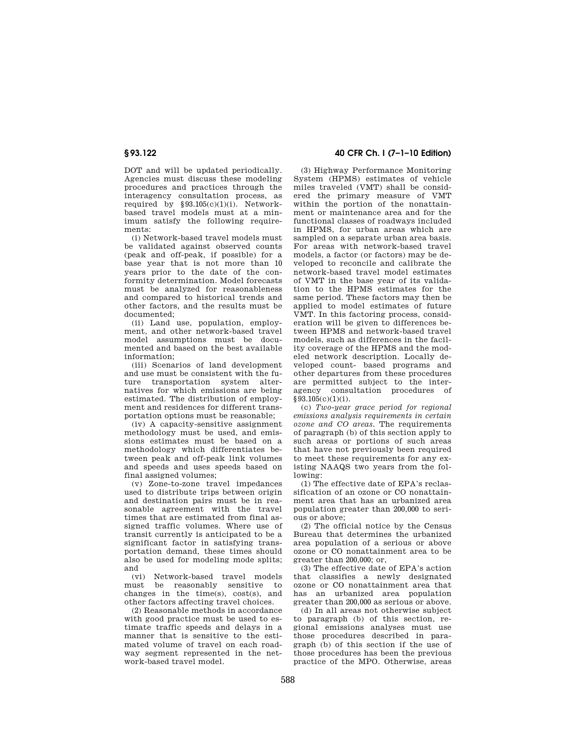DOT and will be updated periodically. Agencies must discuss these modeling procedures and practices through the interagency consultation process, as required by  $§93.105(c)(1)(i)$ . Networkbased travel models must at a minimum satisfy the following requirements:

(i) Network-based travel models must be validated against observed counts (peak and off-peak, if possible) for a base year that is not more than 10 years prior to the date of the conformity determination. Model forecasts must be analyzed for reasonableness and compared to historical trends and other factors, and the results must be documented;

(ii) Land use, population, employment, and other network-based travel model assumptions must be documented and based on the best available information;

(iii) Scenarios of land development and use must be consistent with the future transportation system alternatives for which emissions are being estimated. The distribution of employment and residences for different transportation options must be reasonable;

(iv) A capacity-sensitive assignment methodology must be used, and emissions estimates must be based on a methodology which differentiates between peak and off-peak link volumes and speeds and uses speeds based on final assigned volumes;

(v) Zone-to-zone travel impedances used to distribute trips between origin and destination pairs must be in reasonable agreement with the travel times that are estimated from final assigned traffic volumes. Where use of transit currently is anticipated to be a significant factor in satisfying transportation demand, these times should also be used for modeling mode splits; and

(vi) Network-based travel models must be reasonably sensitive to changes in the time(s), cost(s), and other factors affecting travel choices.

(2) Reasonable methods in accordance with good practice must be used to estimate traffic speeds and delays in a manner that is sensitive to the estimated volume of travel on each roadway segment represented in the network-based travel model.

# **§ 93.122 40 CFR Ch. I (7–1–10 Edition)**

(3) Highway Performance Monitoring System (HPMS) estimates of vehicle miles traveled (VMT) shall be considered the primary measure of VMT within the portion of the nonattainment or maintenance area and for the functional classes of roadways included in HPMS, for urban areas which are sampled on a separate urban area basis. For areas with network-based travel models, a factor (or factors) may be developed to reconcile and calibrate the network-based travel model estimates of VMT in the base year of its validation to the HPMS estimates for the same period. These factors may then be applied to model estimates of future VMT. In this factoring process, consideration will be given to differences between HPMS and network-based travel models, such as differences in the facility coverage of the HPMS and the modeled network description. Locally developed count- based programs and other departures from these procedures are permitted subject to the interagency consultation procedures of §93.105(c)(1)(i).

(c) *Two-year grace period for regional emissions analysis requirements in certain ozone and CO areas.* The requirements of paragraph (b) of this section apply to such areas or portions of such areas that have not previously been required to meet these requirements for any existing NAAQS two years from the following:

(1) The effective date of EPA's reclassification of an ozone or CO nonattainment area that has an urbanized area population greater than 200,000 to serious or above;

(2) The official notice by the Census Bureau that determines the urbanized area population of a serious or above ozone or CO nonattainment area to be  $e$ reater than  $200,000$ ; or

(3) The effective date of EPA's action that classifies a newly designated ozone or CO nonattainment area that has an urbanized area population greater than 200,000 as serious or above.

(d) In all areas not otherwise subject to paragraph (b) of this section, regional emissions analyses must use those procedures described in paragraph (b) of this section if the use of those procedures has been the previous practice of the MPO. Otherwise, areas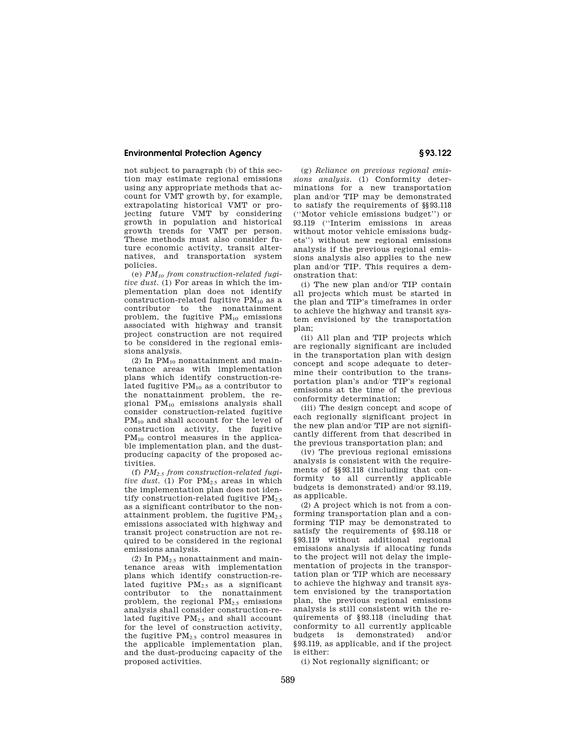## **Environmental Protection Agency § 93.122**

not subject to paragraph (b) of this section may estimate regional emissions using any appropriate methods that account for VMT growth by, for example, extrapolating historical VMT or projecting future VMT by considering growth in population and historical growth trends for VMT per person. These methods must also consider future economic activity, transit alternatives, and transportation system policies.

(e) *PM<sup>10</sup> from construction-related fugitive dust.* (1) For areas in which the implementation plan does not identify construction-related fugitive PM<sub>10</sub> as a contributor to the nonattainment problem, the fugitive  $PM_{10}$  emissions associated with highway and transit project construction are not required to be considered in the regional emissions analysis.

 $(2)$  In PM<sub>10</sub> nonattainment and maintenance areas with implementation plans which identify construction-related fugitive  $PM_{10}$  as a contributor to the nonattainment problem, the regional PM<sup>10</sup> emissions analysis shall consider construction-related fugitive PM<sup>10</sup> and shall account for the level of construction activity, the fugitive PM<sup>10</sup> control measures in the applicable implementation plan, and the dustproducing capacity of the proposed activities.

(f) *PM2.5 from construction-related fugitive dust.* (1) For  $PM_{2.5}$  areas in which the implementation plan does not identify construction-related fugitive  $PM_{2.5}$ as a significant contributor to the nonattainment problem, the fugitive  $PM_{2.5}$ emissions associated with highway and transit project construction are not required to be considered in the regional emissions analysis.

(2) In  $PM<sub>2.5</sub>$  nonattainment and maintenance areas with implementation plans which identify construction-related fugitive  $PM_{2.5}$  as a significant contributor to the nonattainment problem, the regional  $PM_{2.5}$  emissions analysis shall consider construction-related fugitive  $PM<sub>2.5</sub>$  and shall account for the level of construction activity, the fugitive  $PM_{2.5}$  control measures in the applicable implementation plan, and the dust-producing capacity of the proposed activities.

(g) *Reliance on previous regional emissions analysis.* (1) Conformity determinations for a new transportation plan and/or TIP may be demonstrated to satisfy the requirements of §§93.118 (''Motor vehicle emissions budget'') or 93.119 (''Interim emissions in areas without motor vehicle emissions budgets'') without new regional emissions analysis if the previous regional emissions analysis also applies to the new plan and/or TIP. This requires a demonstration that:

(i) The new plan and/or TIP contain all projects which must be started in the plan and TIP's timeframes in order to achieve the highway and transit system envisioned by the transportation plan;

(ii) All plan and TIP projects which are regionally significant are included in the transportation plan with design concept and scope adequate to determine their contribution to the transportation plan's and/or TIP's regional emissions at the time of the previous conformity determination;

(iii) The design concept and scope of each regionally significant project in the new plan and/or TIP are not significantly different from that described in the previous transportation plan; and

(iv) The previous regional emissions analysis is consistent with the requirements of §§93.118 (including that conformity to all currently applicable budgets is demonstrated) and/or 93.119, as applicable.

(2) A project which is not from a conforming transportation plan and a conforming TIP may be demonstrated to satisfy the requirements of §93.118 or §93.119 without additional regional emissions analysis if allocating funds to the project will not delay the implementation of projects in the transportation plan or TIP which are necessary to achieve the highway and transit system envisioned by the transportation plan, the previous regional emissions analysis is still consistent with the requirements of §93.118 (including that conformity to all currently applicable budgets is demonstrated) and/or §93.119, as applicable, and if the project is either:

(i) Not regionally significant; or